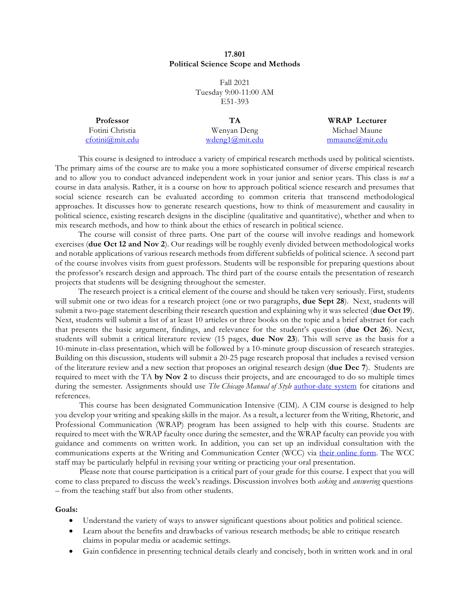# **17.801 Political Science Scope and Methods**

| Fall 2021             |
|-----------------------|
| Tuesday 9:00-11:00 AM |
| E51-393               |

| <b>Professor</b> | TA.            | <b>WRAP</b> Lecturer  |
|------------------|----------------|-----------------------|
| Fotini Christia  | Wenyan Deng    | Michael Maune         |
| cfotini@mit.edu  | wdeng1@mit.edu | $m$ maune $@$ mit.edu |

This course is designed to introduce a variety of empirical research methods used by political scientists. The primary aims of the course are to make you a more sophisticated consumer of diverse empirical research and to allow you to conduct advanced independent work in your junior and senior years. This class is *not* a course in data analysis. Rather, it is a course on how to approach political science research and presumes that social science research can be evaluated according to common criteria that transcend methodological approaches. It discusses how to generate research questions, how to think of measurement and causality in political science, existing research designs in the discipline (qualitative and quantitative), whether and when to mix research methods, and how to think about the ethics of research in political science.

The course will consist of three parts. One part of the course will involve readings and homework exercises (**due Oct 12 and Nov 2**). Our readings will be roughly evenly divided between methodological works and notable applications of various research methods from different subfields of political science. A second part of the course involves visits from guest professors. Students will be responsible for preparing questions about the professor's research design and approach. The third part of the course entails the presentation of research projects that students will be designing throughout the semester.

The research project is a critical element of the course and should be taken very seriously. First, students will submit one or two ideas for a research project (one or two paragraphs, **due Sept 28**). Next, students will submit a two-page statement describing their research question and explaining why it was selected (**due Oct 19**). Next, students will submit a list of at least 10 articles or three books on the topic and a brief abstract for each that presents the basic argument, findings, and relevance for the student's question (**due Oct 26**). Next, students will submit a critical literature review (15 pages, **due Nov 23**). This will serve as the basis for a 10-minute in-class presentation, which will be followed by a 10-minute group discussion of research strategies. Building on this discussion, students will submit a 20-25 page research proposal that includes a revised version of the literature review and a new section that proposes an original research design (**due Dec 7**). Students are required to meet with the TA **by Nov 2** to discuss their projects, and are encouraged to do so multiple times during the semester. Assignments should use *The Chicago Manual of Style* author-date system for citations and references.

This course has been designated Communication Intensive (CIM). A CIM course is designed to help you develop your writing and speaking skills in the major. As a result, a lecturer from the Writing, Rhetoric, and Professional Communication (WRAP) program has been assigned to help with this course. Students are required to meet with the WRAP faculty once during the semester, and the WRAP faculty can provide you with guidance and comments on written work. In addition, you can set up an individual consultation with the communications experts at the Writing and Communication Center (WCC) via their online form. The WCC staff may be particularly helpful in revising your writing or practicing your oral presentation.

Please note that course participation is a critical part of your grade for this course. I expect that you will come to class prepared to discuss the week's readings. Discussion involves both *asking* and *answering* questions – from the teaching staff but also from other students.

### **Goals:**

- Understand the variety of ways to answer significant questions about politics and political science.
- Learn about the benefits and drawbacks of various research methods; be able to critique research claims in popular media or academic settings.
- Gain confidence in presenting technical details clearly and concisely, both in written work and in oral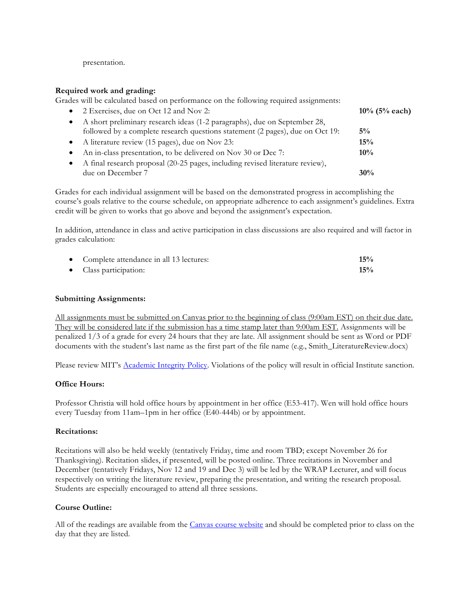presentation.

### **Required work and grading:**

Grades will be calculated based on performance on the following required assignments:

| $\bullet$ | 2 Exercises, due on Oct 12 and Nov 2:                                         | 10% (5% each) |
|-----------|-------------------------------------------------------------------------------|---------------|
|           | A short preliminary research ideas (1-2 paragraphs), due on September 28,     |               |
|           | followed by a complete research questions statement (2 pages), due on Oct 19: | $5\%$         |
|           | A literature review (15 pages), due on Nov 23:                                | 15%           |
|           | An in-class presentation, to be delivered on Nov 30 or Dec 7:                 | $10\%$        |
|           | A final research proposal (20-25 pages, including revised literature review), |               |
|           | due on December 7                                                             | 30%           |

Grades for each individual assignment will be based on the demonstrated progress in accomplishing the course's goals relative to the course schedule, on appropriate adherence to each assignment's guidelines. Extra credit will be given to works that go above and beyond the assignment's expectation.

In addition, attendance in class and active participation in class discussions are also required and will factor in grades calculation:

| • Complete attendance in all 13 lectures: | 15% |
|-------------------------------------------|-----|
| • Class participation:                    | 15% |

## **Submitting Assignments:**

All assignments must be submitted on Canvas prior to the beginning of class (9:00am EST) on their due date. They will be considered late if the submission has a time stamp later than 9:00am EST. Assignments will be penalized 1/3 of a grade for every 24 hours that they are late. All assignment should be sent as Word or PDF documents with the student's last name as the first part of the file name (e.g., Smith\_LiteratureReview.docx)

Please review MIT's Academic Integrity Policy. Violations of the policy will result in official Institute sanction.

## **Office Hours:**

Professor Christia will hold office hours by appointment in her office (E53-417). Wen will hold office hours every Tuesday from 11am–1pm in her office (E40-444b) or by appointment.

## **Recitations:**

Recitations will also be held weekly (tentatively Friday, time and room TBD; except November 26 for Thanksgiving). Recitation slides, if presented, will be posted online. Three recitations in November and December (tentatively Fridays, Nov 12 and 19 and Dec 3) will be led by the WRAP Lecturer, and will focus respectively on writing the literature review, preparing the presentation, and writing the research proposal. Students are especially encouraged to attend all three sessions.

## **Course Outline:**

All of the readings are available from the Canvas course website and should be completed prior to class on the day that they are listed.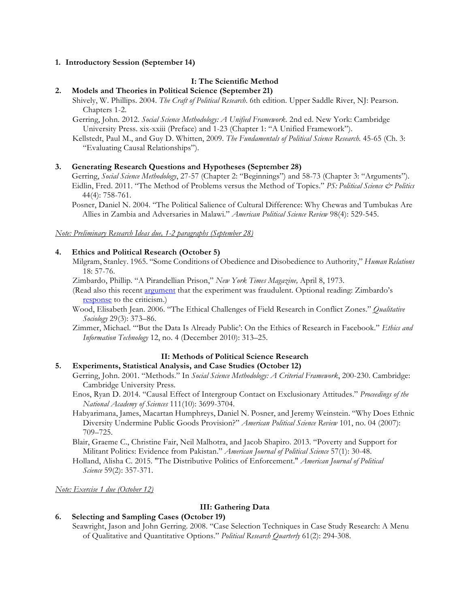## **1. Introductory Session (September 14)**

## **I: The Scientific Method**

### **2. Models and Theories in Political Science (September 21)**

Shively, W. Phillips. 2004. *The Craft of Political Research*. 6th edition. Upper Saddle River, NJ: Pearson. Chapters 1-2.

Gerring, John. 2012. *Social Science Methodology: A Unified Framework*. 2nd ed. New York: Cambridge University Press. xix-xxiii (Preface) and 1-23 (Chapter 1: "A Unified Framework").

Kellstedt, Paul M., and Guy D. Whitten, 2009. *The Fundamentals of Political Science Research.* 45-65 (Ch. 3: "Evaluating Causal Relationships").

#### **3. Generating Research Questions and Hypotheses (September 28)**

Gerring, *Social Science Methodology*, 27-57 (Chapter 2: "Beginnings") and 58-73 (Chapter 3: "Arguments"). Eidlin, Fred. 2011. "The Method of Problems versus the Method of Topics." *PS: Political Science & Politics* 44(4): 758-761.

Posner, Daniel N. 2004. "The Political Salience of Cultural Difference: Why Chewas and Tumbukas Are Allies in Zambia and Adversaries in Malawi." *American Political Science Review* 98(4): 529-545.

### *Note: Preliminary Research Ideas due, 1-2 paragraphs (September 28)*

## **4. Ethics and Political Research (October 5)**

Milgram, Stanley. 1965. "Some Conditions of Obedience and Disobedience to Authority," *Human Relations* 18: 57-76.

Zimbardo, Phillip. "A Pirandellian Prison," *New York Times Magazine,* April 8, 1973.

- (Read also this recent argument that the experiment was fraudulent. Optional reading: Zimbardo's response to the criticism.)
- Wood, Elisabeth Jean. 2006. "The Ethical Challenges of Field Research in Conflict Zones." *Qualitative Sociology* 29(3): 373–86.

Zimmer, Michael. "'But the Data Is Already Public': On the Ethics of Research in Facebook." *Ethics and Information Technology* 12, no. 4 (December 2010): 313–25.

## **II: Methods of Political Science Research**

# **5. Experiments, Statistical Analysis, and Case Studies (October 12)**

- Gerring, John. 2001. "Methods." In *Social Science Methodology: A Criterial Framework*, 200-230. Cambridge: Cambridge University Press.
- Enos, Ryan D. 2014. "Causal Effect of Intergroup Contact on Exclusionary Attitudes." *Proceedings of the National Academy of Sciences* 111(10): 3699-3704.
- Habyarimana, James, Macartan Humphreys, Daniel N. Posner, and Jeremy Weinstein. "Why Does Ethnic Diversity Undermine Public Goods Provision?" *American Political Science Review* 101, no. 04 (2007): 709–725.
- Blair, Graeme C., Christine Fair, Neil Malhotra, and Jacob Shapiro. 2013. "Poverty and Support for Militant Politics: Evidence from Pakistan." *American Journal of Political Science* 57(1): 30-48.

Holland, Alisha C. 2015. "The Distributive Politics of Enforcement." *American Journal of Political Science* 59(2): 357-371.

*Note: Exercise 1 due (October 12)*

## **III: Gathering Data**

### **6. Selecting and Sampling Cases (October 19)**

Seawright, Jason and John Gerring. 2008. "Case Selection Techniques in Case Study Research: A Menu of Qualitative and Quantitative Options." *Political Research Quarterly* 61(2): 294-308.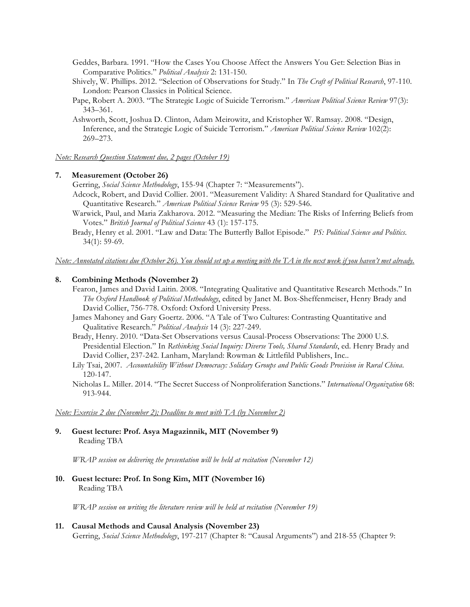- Geddes, Barbara. 1991. "How the Cases You Choose Affect the Answers You Get: Selection Bias in Comparative Politics." *Political Analysis* 2: 131-150.
- Shively, W. Phillips. 2012. "Selection of Observations for Study." In *The Craft of Political Research*, 97-110. London: Pearson Classics in Political Science.
- Pape, Robert A. 2003. "The Strategic Logic of Suicide Terrorism." *American Political Science Review* 97(3): 343–361.
- Ashworth, Scott, Joshua D. Clinton, Adam Meirowitz, and Kristopher W. Ramsay. 2008. "Design, Inference, and the Strategic Logic of Suicide Terrorism." *American Political Science Review* 102(2): 269–273.

### *Note: Research Question Statement due, 2 pages (October 19)*

### **7. Measurement (October 26)**

Gerring, *Social Science Methodology*, 155-94 (Chapter 7: "Measurements").

- Adcock, Robert, and David Collier. 2001. "Measurement Validity: A Shared Standard for Qualitative and Quantitative Research." *American Political Science Review* 95 (3): 529-546.
- Warwick, Paul, and Maria Zakharova. 2012. "Measuring the Median: The Risks of Inferring Beliefs from Votes." *British Journal of Political Science* 43 (1): 157-175.
- Brady, Henry et al. 2001. "Law and Data: The Butterfly Ballot Episode." *PS: Political Science and Politics*. 34(1): 59-69.

### *Note: Annotated citations due (October 26). You should set up a meeting with the TA in the next week if you haven't met already.*

## **8. Combining Methods (November 2)**

- Fearon, James and David Laitin. 2008. "Integrating Qualitative and Quantitative Research Methods." In *The Oxford Handbook of Political Methodology*, edited by Janet M. Box-Sheffenmeiser, Henry Brady and David Collier, 756-778. Oxford: Oxford University Press.
- James Mahoney and Gary Goertz. 2006. "A Tale of Two Cultures: Contrasting Quantitative and Qualitative Research." *Political Analysis* 14 (3): 227-249.
- Brady, Henry. 2010. "Data-Set Observations versus Causal-Process Observations: The 2000 U.S. Presidential Election." In *Rethinking Social Inquiry: Diverse Tools, Shared Standards*, ed. Henry Brady and David Collier, 237-242. Lanham, Maryland: Rowman & Littlefild Publishers, Inc..
- Lily Tsai, 2007. *Accountability Without Democracy: Solidary Groups and Public Goods Provision in Rural China*. 120-147.
- Nicholas L. Miller. 2014. "The Secret Success of Nonproliferation Sanctions." *International Organization* 68: 913-944.

### *Note: Exercise 2 due (November 2); Deadline to meet with TA (by November 2)*

**9. Guest lecture: Prof. Asya Magazinnik, MIT (November 9)** Reading TBA

*WRAP session on delivering the presentation will be held at recitation (November 12)*

**10. Guest lecture: Prof. In Song Kim, MIT (November 16)** Reading TBA

*WRAP session on writing the literature review will be held at recitation (November 19)*

## **11. Causal Methods and Causal Analysis (November 23)**

Gerring, *Social Science Methodology*, 197-217 (Chapter 8: "Causal Arguments") and 218-55 (Chapter 9: